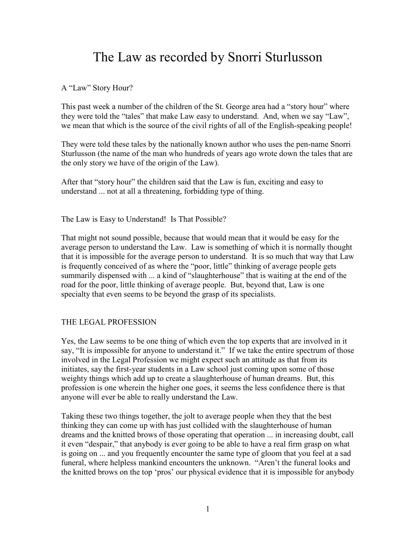# The Law as recorded by Snorri Sturlusson

A "Law" Story Hour?

This past week a number of the children of the St. George area had a "story hour" where they were told the "tales" that make Law easy to understand. And, when we say "Law", we mean that which is the source of the civil rights of all of the English-speaking people!

They were told these tales by the nationally known author who uses the pen-name Snorri Sturlusson (the name of the man who hundreds of years ago wrote down the tales that are the only story we have of the origin of the Law).

After that "story hour" the children said that the Law is fun, exciting and easy to understand ... not at all a threatening, forbidding type of thing.

The Law is Easy to Understand! Is That Possible?

That might not sound possible, because that would mean that it would be easy for the average person to understand the Law. Law is something of which it is normally thought that it is impossible for the average person to understand. It is so much that way that Law is frequently conceived of as where the "poor, little" thinking of average people gets summarily dispensed with ... a kind of "slaughterhouse" that is waiting at the end of the road for the poor, little thinking of average people. But, beyond that, Law is one specialty that even seems to be beyond the grasp of its specialists.

## THE LEGAL PROFESSION

Yes, the Law seems to be one thing of which even the top experts that are involved in it say, "It is impossible for anyone to understand it." If we take the entire spectrum of those involved in the Legal Profession we might expect such an attitude as that from its initiates, say the first-year students in a Law school just coming upon some of those weighty things which add up to create a slaughterhouse of human dreams. But, this profession is one wherein the higher one goes, it seems the less confidence there is that anyone will ever be able to really understand the Law.

Taking these two things together, the jolt to average people when they that the best thinking they can come up with has just collided with the slaughterhouse of human dreams and the knitted brows of those operating that operation ... in increasing doubt, call it even "despair," that anybody is ever going to be able to have a real firm grasp on what is going on ... and you frequently encounter the same type of gloom that you feel at a sad funeral, where helpless mankind encounters the unknown. "Aren't the funeral looks and the knitted brows on the top 'pros' our physical evidence that it is impossible for anybody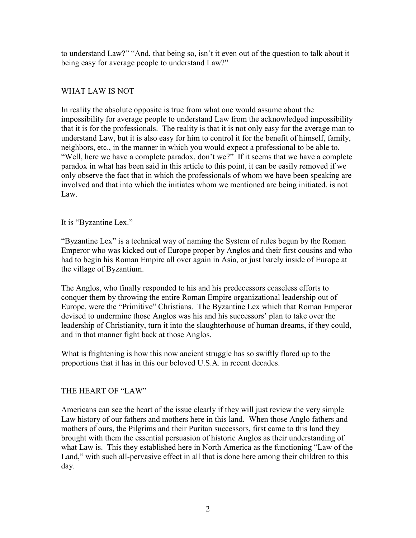to understand Law?" "And, that being so, isn't it even out of the question to talk about it being easy for average people to understand Law?"

## WHAT LAW IS NOT

In reality the absolute opposite is true from what one would assume about the impossibility for average people to understand Law from the acknowledged impossibility that it is for the professionals. The reality is that it is not only easy for the average man to understand Law, but it is also easy for him to control it for the benefit of himself, family, neighbors, etc., in the manner in which you would expect a professional to be able to. "Well, here we have a complete paradox, don't we?" If it seems that we have a complete paradox in what has been said in this article to this point, it can be easily removed if we only observe the fact that in which the professionals of whom we have been speaking are involved and that into which the initiates whom we mentioned are being initiated, is not Law.

### It is "Byzantine Lex."

"Byzantine Lex" is a technical way of naming the System of rules begun by the Roman Emperor who was kicked out of Europe proper by Anglos and their first cousins and who had to begin his Roman Empire all over again in Asia, or just barely inside of Europe at the village of Byzantium.

The Anglos, who finally responded to his and his predecessors ceaseless efforts to conquer them by throwing the entire Roman Empire organizational leadership out of Europe, were the "Primitive" Christians. The Byzantine Lex which that Roman Emperor devised to undermine those Anglos was his and his successors' plan to take over the leadership of Christianity, turn it into the slaughterhouse of human dreams, if they could, and in that manner fight back at those Anglos.

What is frightening is how this now ancient struggle has so swiftly flared up to the proportions that it has in this our beloved U.S.A. in recent decades.

## THE HEART OF "LAW"

Americans can see the heart of the issue clearly if they will just review the very simple Law history of our fathers and mothers here in this land. When those Anglo fathers and mothers of ours, the Pilgrims and their Puritan successors, first came to this land they brought with them the essential persuasion of historic Anglos as their understanding of what Law is. This they established here in North America as the functioning "Law of the Land," with such all-pervasive effect in all that is done here among their children to this day.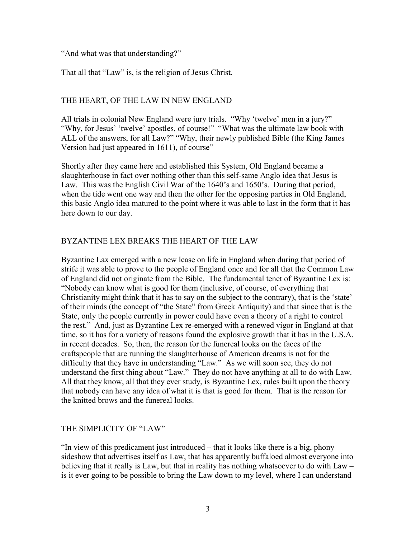"And what was that understanding?"

That all that "Law" is, is the religion of Jesus Christ.

## THE HEART, OF THE LAW IN NEW ENGLAND

All trials in colonial New England were jury trials. "Why 'twelve' men in a jury?" "Why, for Jesus' 'twelve' apostles, of course!" "What was the ultimate law book with ALL of the answers, for all Law?" "Why, their newly published Bible (the King James Version had just appeared in 1611), of course"

Shortly after they came here and established this System, Old England became a slaughterhouse in fact over nothing other than this self-same Anglo idea that Jesus is Law. This was the English Civil War of the 1640's and 1650's. During that period, when the tide went one way and then the other for the opposing parties in Old England, this basic Anglo idea matured to the point where it was able to last in the form that it has here down to our day.

## BYZANTINE LEX BREAKS THE HEART OF THE LAW

Byzantine Lax emerged with a new lease on life in England when during that period of strife it was able to prove to the people of England once and for all that the Common Law of England did not originate from the Bible. The fundamental tenet of Byzantine Lex is: "Nobody can know what is good for them (inclusive, of course, of everything that Christianity might think that it has to say on the subject to the contrary), that is the 'state' of their minds (the concept of "the State" from Greek Antiquity) and that since that is the State, only the people currently in power could have even a theory of a right to control the rest." And, just as Byzantine Lex re-emerged with a renewed vigor in England at that time, so it has for a variety of reasons found the explosive growth that it has in the U.S.A. in recent decades. So, then, the reason for the funereal looks on the faces of the craftspeople that are running the slaughterhouse of American dreams is not for the difficulty that they have in understanding "Law." As we will soon see, they do not understand the first thing about "Law." They do not have anything at all to do with Law. All that they know, all that they ever study, is Byzantine Lex, rules built upon the theory that nobody can have any idea of what it is that is good for them. That is the reason for the knitted brows and the funereal looks.

### THE SIMPLICITY OF "LAW"

"In view of this predicament just introduced – that it looks like there is a big, phony sideshow that advertises itself as Law, that has apparently buffaloed almost everyone into believing that it really is Law, but that in reality has nothing whatsoever to do with Law – is it ever going to be possible to bring the Law down to my level, where I can understand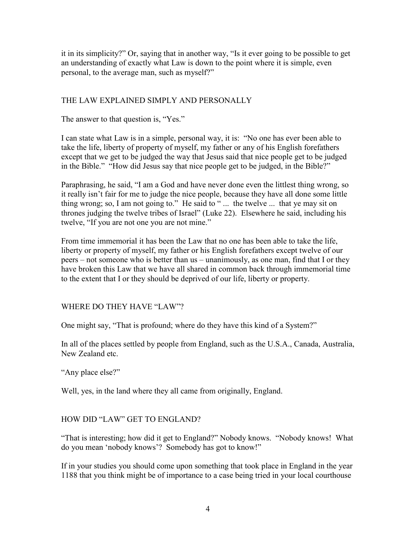it in its simplicity?" Or, saying that in another way, "Is it ever going to be possible to get an understanding of exactly what Law is down to the point where it is simple, even personal, to the average man, such as myself?"

## THE LAW EXPLAINED SIMPLY AND PERSONALLY

The answer to that question is, "Yes."

I can state what Law is in a simple, personal way, it is: "No one has ever been able to take the life, liberty of property of myself, my father or any of his English forefathers except that we get to be judged the way that Jesus said that nice people get to be judged in the Bible." "How did Jesus say that nice people get to be judged, in the Bible?"

Paraphrasing, he said, "I am a God and have never done even the littlest thing wrong, so it really isn't fair for me to judge the nice people, because they have all done some little thing wrong; so, I am not going to." He said to " ... the twelve ... that ye may sit on thrones judging the twelve tribes of Israel" (Luke 22). Elsewhere he said, including his twelve, "If you are not one you are not mine."

From time immemorial it has been the Law that no one has been able to take the life, liberty or property of myself, my father or his English forefathers except twelve of our peers – not someone who is better than us – unanimously, as one man, find that I or they have broken this Law that we have all shared in common back through immemorial time to the extent that I or they should be deprived of our life, liberty or property.

WHERE DO THEY HAVE "LAW"?

One might say, "That is profound; where do they have this kind of a System?"

In all of the places settled by people from England, such as the U.S.A., Canada, Australia, New Zealand etc.

"Any place else?"

Well, yes, in the land where they all came from originally, England.

HOW DID "LAW" GET TO ENGLAND?

"That is interesting; how did it get to England?" Nobody knows. "Nobody knows! What do you mean 'nobody knows'? Somebody has got to know!"

If in your studies you should come upon something that took place in England in the year 1188 that you think might be of importance to a case being tried in your local courthouse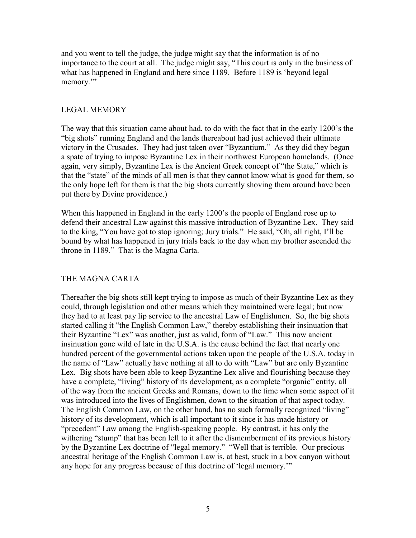and you went to tell the judge, the judge might say that the information is of no importance to the court at all. The judge might say, "This court is only in the business of what has happened in England and here since 1189. Before 1189 is 'beyond legal memory."

## LEGAL MEMORY

The way that this situation came about had, to do with the fact that in the early 1200's the "big shots" running England and the lands thereabout had just achieved their ultimate victory in the Crusades. They had just taken over "Byzantium." As they did they began a spate of trying to impose Byzantine Lex in their northwest European homelands. (Once again, very simply, Byzantine Lex is the Ancient Greek concept of "the State," which is that the "state" of the minds of all men is that they cannot know what is good for them, so the only hope left for them is that the big shots currently shoving them around have been put there by Divine providence.)

When this happened in England in the early 1200's the people of England rose up to defend their ancestral Law against this massive introduction of Byzantine Lex. They said to the king, "You have got to stop ignoring; Jury trials." He said, "Oh, all right, I'll be bound by what has happened in jury trials back to the day when my brother ascended the throne in 1189." That is the Magna Carta.

## THE MAGNA CARTA

Thereafter the big shots still kept trying to impose as much of their Byzantine Lex as they could, through legislation and other means which they maintained were legal; but now they had to at least pay lip service to the ancestral Law of Englishmen. So, the big shots started calling it "the English Common Law," thereby establishing their insinuation that their Byzantine "Lex" was another, just as valid, form of "Law." This now ancient insinuation gone wild of late in the U.S.A. is the cause behind the fact that nearly one hundred percent of the governmental actions taken upon the people of the U.S.A. today in the name of "Law" actually have nothing at all to do with "Law" but are only Byzantine Lex. Big shots have been able to keep Byzantine Lex alive and flourishing because they have a complete, "living" history of its development, as a complete "organic" entity, all of the way from the ancient Greeks and Romans, down to the time when some aspect of it was introduced into the lives of Englishmen, down to the situation of that aspect today. The English Common Law, on the other hand, has no such formally recognized "living" history of its development, which is all important to it since it has made history or "precedent" Law among the English-speaking people. By contrast, it has only the withering "stump" that has been left to it after the dismemberment of its previous history by the Byzantine Lex doctrine of "legal memory." "Well that is terrible. Our precious ancestral heritage of the English Common Law is, at best, stuck in a box canyon without any hope for any progress because of this doctrine of 'legal memory.'"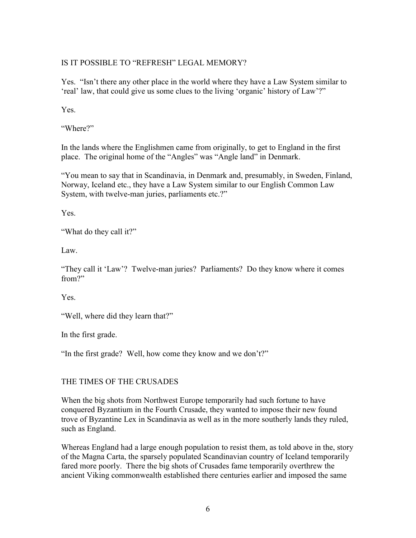# IS IT POSSIBLE TO "REFRESH" LEGAL MEMORY?

Yes. "Isn't there any other place in the world where they have a Law System similar to 'real' law, that could give us some clues to the living 'organic' history of Law'?"

Yes.

"Where?"

In the lands where the Englishmen came from originally, to get to England in the first place. The original home of the "Angles" was "Angle land" in Denmark.

"You mean to say that in Scandinavia, in Denmark and, presumably, in Sweden, Finland, Norway, Iceland etc., they have a Law System similar to our English Common Law System, with twelve-man juries, parliaments etc.?"

Yes.

"What do they call it?"

Law.

"They call it 'Law'? Twelve-man juries? Parliaments? Do they know where it comes from?"

Yes.

"Well, where did they learn that?"

In the first grade.

"In the first grade? Well, how come they know and we don't?"

# THE TIMES OF THE CRUSADES

When the big shots from Northwest Europe temporarily had such fortune to have conquered Byzantium in the Fourth Crusade, they wanted to impose their new found trove of Byzantine Lex in Scandinavia as well as in the more southerly lands they ruled, such as England.

Whereas England had a large enough population to resist them, as told above in the, story of the Magna Carta, the sparsely populated Scandinavian country of Iceland temporarily fared more poorly. There the big shots of Crusades fame temporarily overthrew the ancient Viking commonwealth established there centuries earlier and imposed the same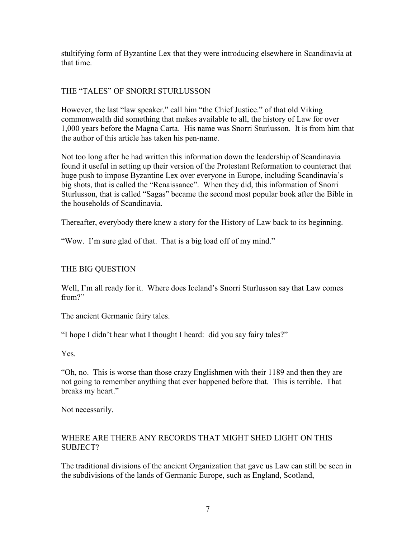stultifying form of Byzantine Lex that they were introducing elsewhere in Scandinavia at that time.

## THE "TALES" OF SNORRI STURLUSSON

However, the last "law speaker." call him "the Chief Justice." of that old Viking commonwealth did something that makes available to all, the history of Law for over 1,000 years before the Magna Carta. His name was Snorri Sturlusson. It is from him that the author of this article has taken his pen-name.

Not too long after he had written this information down the leadership of Scandinavia found it useful in setting up their version of the Protestant Reformation to counteract that huge push to impose Byzantine Lex over everyone in Europe, including Scandinavia's big shots, that is called the "Renaissance". When they did, this information of Snorri Sturlusson, that is called "Sagas" became the second most popular book after the Bible in the households of Scandinavia.

Thereafter, everybody there knew a story for the History of Law back to its beginning.

"Wow. I'm sure glad of that. That is a big load off of my mind."

## THE BIG QUESTION

Well, I'm all ready for it. Where does Iceland's Snorri Sturlusson say that Law comes from?"

The ancient Germanic fairy tales.

"I hope I didn't hear what I thought I heard: did you say fairy tales?"

Yes.

"Oh, no. This is worse than those crazy Englishmen with their 1189 and then they are not going to remember anything that ever happened before that. This is terrible. That breaks my heart."

Not necessarily.

## WHERE ARE THERE ANY RECORDS THAT MIGHT SHED LIGHT ON THIS SUBJECT?

The traditional divisions of the ancient Organization that gave us Law can still be seen in the subdivisions of the lands of Germanic Europe, such as England, Scotland,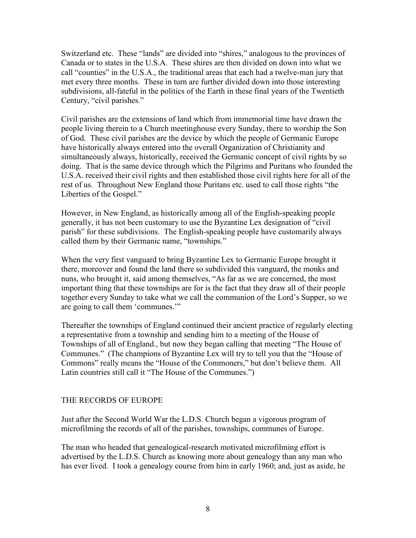Switzerland etc. These "lands" are divided into "shires," analogous to the provinces of Canada or to states in the U.S.A. These shires are then divided on down into what we call "counties" in the U.S.A., the traditional areas that each had a twelve-man jury that met every three months. These in turn are further divided down into those interesting subdivisions, all-fateful in the politics of the Earth in these final years of the Twentieth Century, "civil parishes."

Civil parishes are the extensions of land which from immemorial time have drawn the people living therein to a Church meetinghouse every Sunday, there to worship the Son of God. These civil parishes are the device by which the people of Germanic Europe have historically always entered into the overall Organization of Christianity and simultaneously always, historically, received the Germanic concept of civil rights by so doing. That is the same device through which the Pilgrims and Puritans who founded the U.S.A. received their civil rights and then established those civil rights here for all of the rest of us. Throughout New England those Puritans etc. used to call those rights "the Liberties of the Gospel."

However, in New England, as historically among all of the English-speaking people generally, it has not been customary to use the Byzantine Lex designation of "civil parish" for these subdivisions. The English-speaking people have customarily always called them by their Germanic name, "townships."

When the very first vanguard to bring Byzantine Lex to Germanic Europe brought it there, moreover and found the land there so subdivided this vanguard, the monks and nuns, who brought it, said among themselves, "As far as we are concerned, the most important thing that these townships are for is the fact that they draw all of their people together every Sunday to take what we call the communion of the Lord's Supper, so we are going to call them 'communes.'"

Thereafter the townships of England continued their ancient practice of regularly electing a representative from a township and sending him to a meeting of the House of Townships of all of England., but now they began calling that meeting "The House of Communes." (The champions of Byzantine Lex will try to tell you that the "House of Commons" really means the "House of the Commoners," but don't believe them. All Latin countries still call it "The House of the Communes.")

### THE RECORDS OF EUROPE

Just after the Second World War the L.D.S. Church began a vigorous program of microfilming the records of all of the parishes, townships, communes of Europe.

The man who headed that genealogical-research motivated microfilming effort is advertised by the L.D.S. Church as knowing more about genealogy than any man who has ever lived. I took a genealogy course from him in early 1960; and, just as aside, he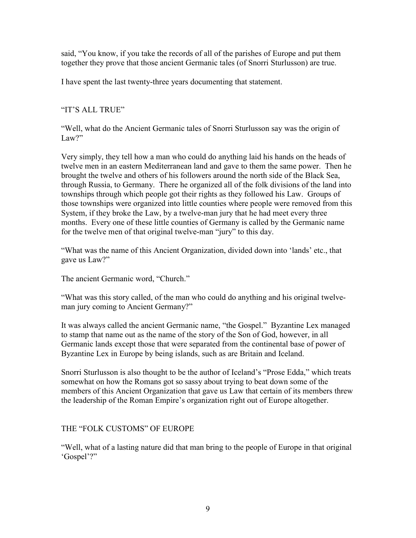said, "You know, if you take the records of all of the parishes of Europe and put them together they prove that those ancient Germanic tales (of Snorri Sturlusson) are true.

I have spent the last twenty-three years documenting that statement.

# "IT'S ALL TRUE"

"Well, what do the Ancient Germanic tales of Snorri Sturlusson say was the origin of Law?"

Very simply, they tell how a man who could do anything laid his hands on the heads of twelve men in an eastern Mediterranean land and gave to them the same power. Then he brought the twelve and others of his followers around the north side of the Black Sea, through Russia, to Germany. There he organized all of the folk divisions of the land into townships through which people got their rights as they followed his Law. Groups of those townships were organized into little counties where people were removed from this System, if they broke the Law, by a twelve-man jury that he had meet every three months. Every one of these little counties of Germany is called by the Germanic name for the twelve men of that original twelve-man "jury" to this day.

"What was the name of this Ancient Organization, divided down into 'lands' etc., that gave us Law?"

The ancient Germanic word, "Church."

"What was this story called, of the man who could do anything and his original twelveman jury coming to Ancient Germany?"

It was always called the ancient Germanic name, "the Gospel." Byzantine Lex managed to stamp that name out as the name of the story of the Son of God, however, in all Germanic lands except those that were separated from the continental base of power of Byzantine Lex in Europe by being islands, such as are Britain and Iceland.

Snorri Sturlusson is also thought to be the author of Iceland's "Prose Edda," which treats somewhat on how the Romans got so sassy about trying to beat down some of the members of this Ancient Organization that gave us Law that certain of its members threw the leadership of the Roman Empire's organization right out of Europe altogether.

# THE "FOLK CUSTOMS" OF EUROPE

"Well, what of a lasting nature did that man bring to the people of Europe in that original 'Gospel'?"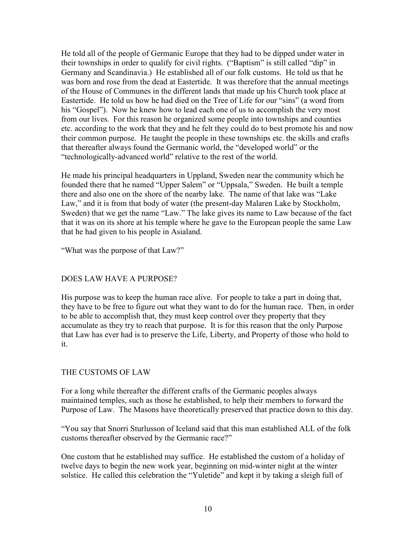He told all of the people of Germanic Europe that they had to be dipped under water in their townships in order to qualify for civil rights. ("Baptism" is still called "dip" in Germany and Scandinavia.) He established all of our folk customs. He told us that he was born and rose from the dead at Eastertide. It was therefore that the annual meetings of the House of Communes in the different lands that made up his Church took place at Eastertide. He told us how he had died on the Tree of Life for our "sins" (a word from his "Gospel"). Now he knew how to lead each one of us to accomplish the very most from our lives. For this reason he organized some people into townships and counties etc. according to the work that they and he felt they could do to best promote his and now their common purpose. He taught the people in these townships etc. the skills and crafts that thereafter always found the Germanic world, the "developed world" or the "technologically-advanced world" relative to the rest of the world.

He made his principal headquarters in Uppland, Sweden near the community which he founded there that he named "Upper Salem" or "Uppsala," Sweden. He built a temple there and also one on the shore of the nearby lake. The name of that lake was "Lake Law," and it is from that body of water (the present-day Malaren Lake by Stockholm, Sweden) that we get the name "Law." The lake gives its name to Law because of the fact that it was on its shore at his temple where he gave to the European people the same Law that he had given to his people in Asialand.

"What was the purpose of that Law?"

## DOES LAW HAVE A PURPOSE?

His purpose was to keep the human race alive. For people to take a part in doing that, they have to be free to figure out what they want to do for the human race. Then, in order to be able to accomplish that, they must keep control over they property that they accumulate as they try to reach that purpose. It is for this reason that the only Purpose that Law has ever had is to preserve the Life, Liberty, and Property of those who hold to it.

## THE CUSTOMS OF LAW

For a long while thereafter the different crafts of the Germanic peoples always maintained temples, such as those he established, to help their members to forward the Purpose of Law. The Masons have theoretically preserved that practice down to this day.

"You say that Snorri Sturlusson of Iceland said that this man established ALL of the folk customs thereafter observed by the Germanic race?"

One custom that he established may suffice. He established the custom of a holiday of twelve days to begin the new work year, beginning on mid-winter night at the winter solstice. He called this celebration the "Yuletide" and kept it by taking a sleigh full of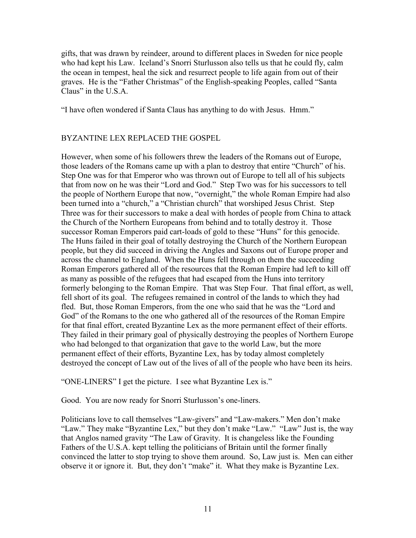gifts, that was drawn by reindeer, around to different places in Sweden for nice people who had kept his Law. Iceland's Snorri Sturlusson also tells us that he could fly, calm the ocean in tempest, heal the sick and resurrect people to life again from out of their graves. He is the "Father Christmas" of the English-speaking Peoples, called "Santa Claus" in the U.S.A.

"I have often wondered if Santa Claus has anything to do with Jesus. Hmm."

# BYZANTINE LEX REPLACED THE GOSPEL

However, when some of his followers threw the leaders of the Romans out of Europe, those leaders of the Romans came up with a plan to destroy that entire "Church" of his. Step One was for that Emperor who was thrown out of Europe to tell all of his subjects that from now on he was their "Lord and God." Step Two was for his successors to tell the people of Northern Europe that now, "overnight," the whole Roman Empire had also been turned into a "church," a "Christian church" that worshiped Jesus Christ. Step Three was for their successors to make a deal with hordes of people from China to attack the Church of the Northern Europeans from behind and to totally destroy it. Those successor Roman Emperors paid cart-loads of gold to these "Huns" for this genocide. The Huns failed in their goal of totally destroying the Church of the Northern European people, but they did succeed in driving the Angles and Saxons out of Europe proper and across the channel to England. When the Huns fell through on them the succeeding Roman Emperors gathered all of the resources that the Roman Empire had left to kill off as many as possible of the refugees that had escaped from the Huns into territory formerly belonging to the Roman Empire. That was Step Four. That final effort, as well, fell short of its goal. The refugees remained in control of the lands to which they had fled. But, those Roman Emperors, from the one who said that he was the "Lord and God" of the Romans to the one who gathered all of the resources of the Roman Empire for that final effort, created Byzantine Lex as the more permanent effect of their efforts. They failed in their primary goal of physically destroying the peoples of Northern Europe who had belonged to that organization that gave to the world Law, but the more permanent effect of their efforts, Byzantine Lex, has by today almost completely destroyed the concept of Law out of the lives of all of the people who have been its heirs.

"ONE-LINERS" I get the picture. I see what Byzantine Lex is."

Good. You are now ready for Snorri Sturlusson's one-liners.

Politicians love to call themselves "Law-givers" and "Law-makers." Men don't make "Law." They make "Byzantine Lex," but they don't make "Law." "Law" Just is, the way that Anglos named gravity "The Law of Gravity. It is changeless like the Founding Fathers of the U.S.A. kept telling the politicians of Britain until the former finally convinced the latter to stop trying to shove them around. So, Law just is. Men can either observe it or ignore it. But, they don't "make" it. What they make is Byzantine Lex.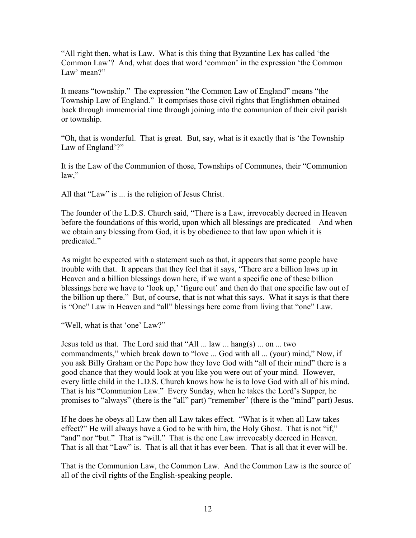"All right then, what is Law. What is this thing that Byzantine Lex has called 'the Common Law'? And, what does that word 'common' in the expression 'the Common Law' mean?"

It means "township." The expression "the Common Law of England" means "the Township Law of England." It comprises those civil rights that Englishmen obtained back through immemorial time through joining into the communion of their civil parish or township.

"Oh, that is wonderful. That is great. But, say, what is it exactly that is 'the Township Law of England'?"

It is the Law of the Communion of those, Townships of Communes, their "Communion law,"

All that "Law" is ... is the religion of Jesus Christ.

The founder of the L.D.S. Church said, "There is a Law, irrevocably decreed in Heaven before the foundations of this world, upon which all blessings are predicated – And when we obtain any blessing from God, it is by obedience to that law upon which it is predicated."

As might be expected with a statement such as that, it appears that some people have trouble with that. It appears that they feel that it says, "There are a billion laws up in Heaven and a billion blessings down here, if we want a specific one of these billion blessings here we have to 'look up,' 'figure out' and then do that one specific law out of the billion up there." But, of course, that is not what this says. What it says is that there is "One" Law in Heaven and "all" blessings here come from living that "one" Law.

"Well, what is that 'one' Law?"

Jesus told us that. The Lord said that "All ... law ... hang(s) ... on ... two commandments," which break down to "love ... God with all ... (your) mind," Now, if you ask Billy Graham or the Pope how they love God with "all of their mind" there is a good chance that they would look at you like you were out of your mind. However, every little child in the L.D.S. Church knows how he is to love God with all of his mind. That is his "Communion Law." Every Sunday, when he takes the Lord's Supper, he promises to "always" (there is the "all" part) "remember" (there is the "mind" part) Jesus.

If he does he obeys all Law then all Law takes effect. "What is it when all Law takes effect?" He will always have a God to be with him, the Holy Ghost. That is not "if," "and" nor "but." That is "will." That is the one Law irrevocably decreed in Heaven. That is all that "Law" is. That is all that it has ever been. That is all that it ever will be.

That is the Communion Law, the Common Law. And the Common Law is the source of all of the civil rights of the English-speaking people.